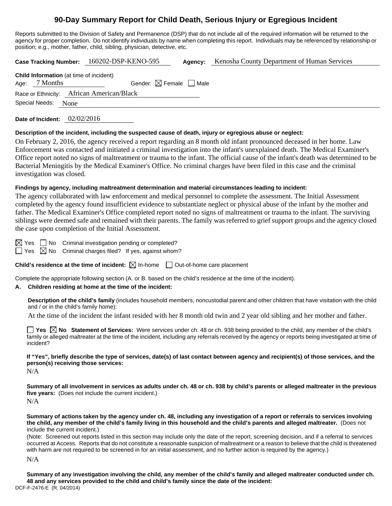# **90-Day Summary Report for Child Death, Serious Injury or Egregious Incident**

Reports submitted to the Division of Safety and Permanence (DSP) that do not include all of the required information will be returned to the agency for proper completion. Do not identify individuals by name when completing this report. Individuals may be referenced by relationship or position; e.g., mother, father, child, sibling, physician, detective, etc.

**Case Tracking Number:** 160202-DSP-KENO-595 **Agency:** Kenosha County Department of Human Services

| <b>Child Information</b> (at time of incident) |               |                                        |  |  |  |  |
|------------------------------------------------|---------------|----------------------------------------|--|--|--|--|
|                                                | Age: 7 Months | Gender: $\boxtimes$ Female $\Box$ Male |  |  |  |  |
| Race or Ethnicity: African American/Black      |               |                                        |  |  |  |  |
| Special Needs: None                            |               |                                        |  |  |  |  |
|                                                |               |                                        |  |  |  |  |

**Date of Incident:** 02/02/2016

#### **Description of the incident, including the suspected cause of death, injury or egregious abuse or neglect:**

On February 2, 2016, the agency received a report regarding an 8 month old infant pronounced deceased in her home. Law Enforcement was contacted and initiated a criminal investigation into the infant's unexplained death. The Medical Examiner's Office report noted no signs of maltreatment or trauma to the infant. The official cause of the infant's death was determined to be Bacterial Meningitis by the Medical Examiner's Office. No criminal charges have been filed in this case and the criminal investigation was closed.

#### **Findings by agency, including maltreatment determination and material circumstances leading to incident:**

The agency collaborated with law enforcement and medical personnel to complete the assessment. The Initial Assessment completed by the agency found insufficient evidence to substantiate neglect or physical abuse of the infant by the mother and father. The Medical Examiner's Office completed report noted no signs of maltreatment or trauma to the infant. The surviving siblings were deemed safe and remained with their parents. The family was referred to grief support groups and the agency closed the case upon completion of the Initial Assessment.

 $\boxtimes$  Yes  $\Box$  No Criminal investigation pending or completed?

 $\Box$  Yes  $\boxtimes$  No Criminal charges filed? If yes, against whom?

**Child's residence at the time of incident:**  $\boxtimes$  In-home  $\Box$  Out-of-home care placement

Complete the appropriate following section (A. or B. based on the child's residence at the time of the incident).

### **A. Children residing at home at the time of the incident:**

**Description of the child's family** (includes household members, noncustodial parent and other children that have visitation with the child and / or in the child's family home):

At the time of the incident the infant resided with her 8 month old twin and 2 year old sibling and her mother and father.

**Yes No Statement of Services:** Were services under ch. 48 or ch. 938 being provided to the child, any member of the child's family or alleged maltreater at the time of the incident, including any referrals received by the agency or reports being investigated at time of incident?

**If "Yes", briefly describe the type of services, date(s) of last contact between agency and recipient(s) of those services, and the person(s) receiving those services:** 

N/A

**Summary of all involvement in services as adults under ch. 48 or ch. 938 by child's parents or alleged maltreater in the previous five years:** (Does not include the current incident.) N/A

**Summary of actions taken by the agency under ch. 48, including any investigation of a report or referrals to services involving the child, any member of the child's family living in this household and the child's parents and alleged maltreater.** (Does not include the current incident.)

(Note: Screened out reports listed in this section may include only the date of the report, screening decision, and if a referral to services occurred at Access. Reports that do not constitute a reasonable suspicion of maltreatment or a reason to believe that the child is threatened with harm are not required to be screened in for an initial assessment, and no further action is required by the agency.)

N/A

DCF-F-2476-E (R. 04/2014) **Summary of any investigation involving the child, any member of the child's family and alleged maltreater conducted under ch. 48 and any services provided to the child and child's family since the date of the incident:**